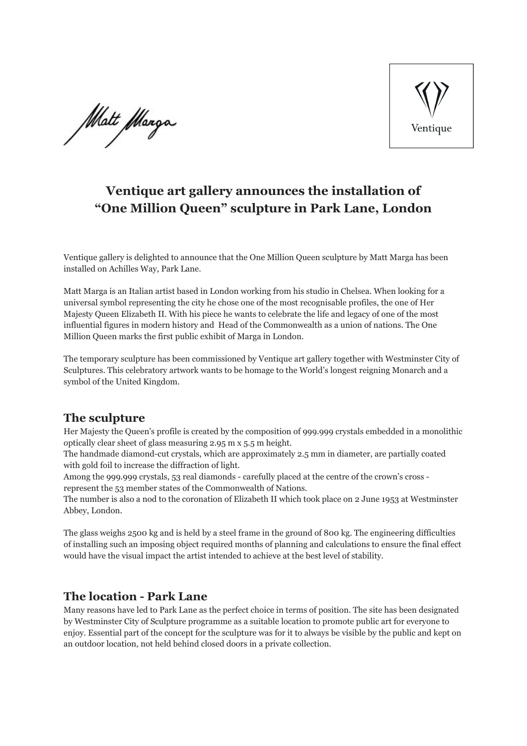Matt *M*arga



# **Ventique art gallery announces the installation of "One Million Queen" sculpture in Park Lane, London**

Ventique gallery is delighted to announce that the One Million Queen sculpture by Matt Marga has been installed on Achilles Way, Park Lane.

Matt Marga is an Italian artist based in London working from his studio in Chelsea. When looking for a universal symbol representing the city he chose one of the most recognisable profiles, the one of Her Majesty Queen Elizabeth II. With his piece he wants to celebrate the life and legacy of one of the most influential figures in modern history and Head of the Commonwealth as a union of nations. The One Million Queen marks the first public exhibit of Marga in London.

The temporary sculpture has been commissioned by Ventique art gallery together with Westminster City of Sculptures. This celebratory artwork wants to be homage to the World's longest reigning Monarch and a symbol of the United Kingdom.

### **The sculpture**

Her Majesty the Queen's profile is created by the composition of 999.999 crystals embedded in a monolithic optically clear sheet of glass measuring 2.95 m x 5.5 m height.

The handmade diamond-cut crystals, which are approximately 2.5 mm in diameter, are partially coated with gold foil to increase the diffraction of light.

Among the 999.999 crystals, 53 real diamonds - carefully placed at the centre of the crown's cross represent the 53 member states of the Commonwealth of Nations.

The number is also a nod to the coronation of Elizabeth II which took place on 2 June 1953 at Westminster Abbey, London.

The glass weighs 2500 kg and is held by a steel frame in the ground of 800 kg. The engineering difficulties of installing such an imposing object required months of planning and calculations to ensure the final effect would have the visual impact the artist intended to achieve at the best level of stability.

### **The location - Park Lane**

Many reasons have led to Park Lane as the perfect choice in terms of position. The site has been designated by Westminster City of Sculpture programme as a suitable location to promote public art for everyone to enjoy. Essential part of the concept for the sculpture was for it to always be visible by the public and kept on an outdoor location, not held behind closed doors in a private collection.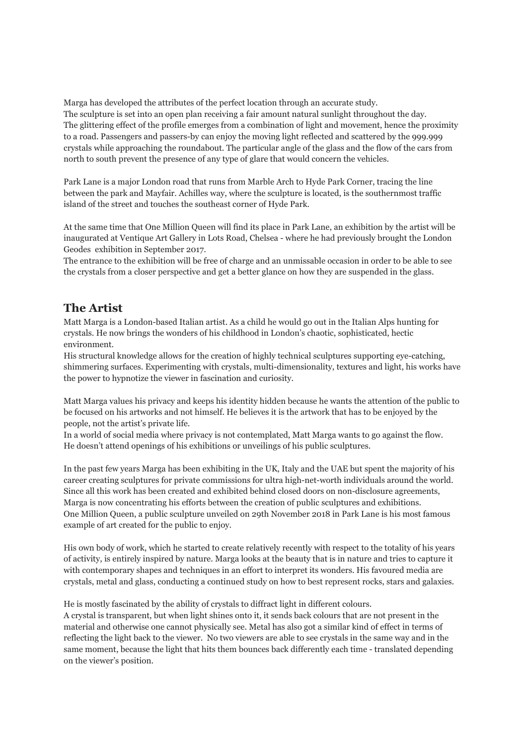Marga has developed the attributes of the perfect location through an accurate study. The sculpture is set into an open plan receiving a fair amount natural sunlight throughout the day. The glittering effect of the profile emerges from a combination of light and movement, hence the proximity to a road. Passengers and passers-by can enjoy the moving light reflected and scattered by the 999.999 crystals while approaching the roundabout. The particular angle of the glass and the flow of the cars from north to south prevent the presence of any type of glare that would concern the vehicles.

Park Lane is a major London road that runs from Marble Arch to Hyde Park Corner, tracing the line between the park and Mayfair. Achilles way, where the sculpture is located, is the southernmost traffic island of the street and touches the southeast corner of Hyde Park.

At the same time that One Million Queen will find its place in Park Lane, an exhibition by the artist will be inaugurated at Ventique Art Gallery in Lots Road, Chelsea - where he had previously brought the London Geodes exhibition in September 2017.

The entrance to the exhibition will be free of charge and an unmissable occasion in order to be able to see the crystals from a closer perspective and get a better glance on how they are suspended in the glass.

### **The Artist**

Matt Marga is a London-based Italian artist. As a child he would go out in the Italian Alps hunting for crystals. He now brings the wonders of his childhood in London's chaotic, sophisticated, hectic environment.

His structural knowledge allows for the creation of highly technical sculptures supporting eye-catching, shimmering surfaces. Experimenting with crystals, multi-dimensionality, textures and light, his works have the power to hypnotize the viewer in fascination and curiosity.

Matt Marga values his privacy and keeps his identity hidden because he wants the attention of the public to be focused on his artworks and not himself. He believes it is the artwork that has to be enjoyed by the people, not the artist's private life.

In a world of social media where privacy is not contemplated, Matt Marga wants to go against the flow. He doesn't attend openings of his exhibitions or unveilings of his public sculptures.

In the past few years Marga has been exhibiting in the UK, Italy and the UAE but spent the majority of his career creating sculptures for private commissions for ultra high-net-worth individuals around the world. Since all this work has been created and exhibited behind closed doors on non-disclosure agreements, Marga is now concentrating his efforts between the creation of public sculptures and exhibitions. One Million Queen, a public sculpture unveiled on 29th November 2018 in Park Lane is his most famous example of art created for the public to enjoy.

His own body of work, which he started to create relatively recently with respect to the totality of his years of activity, is entirely inspired by nature. Marga looks at the beauty that is in nature and tries to capture it with contemporary shapes and techniques in an effort to interpret its wonders. His favoured media are crystals, metal and glass, conducting a continued study on how to best represent rocks, stars and galaxies.

He is mostly fascinated by the ability of crystals to diffract light in different colours.

A crystal is transparent, but when light shines onto it, it sends back colours that are not present in the material and otherwise one cannot physically see. Metal has also got a similar kind of effect in terms of reflecting the light back to the viewer. No two viewers are able to see crystals in the same way and in the same moment, because the light that hits them bounces back differently each time - translated depending on the viewer's position.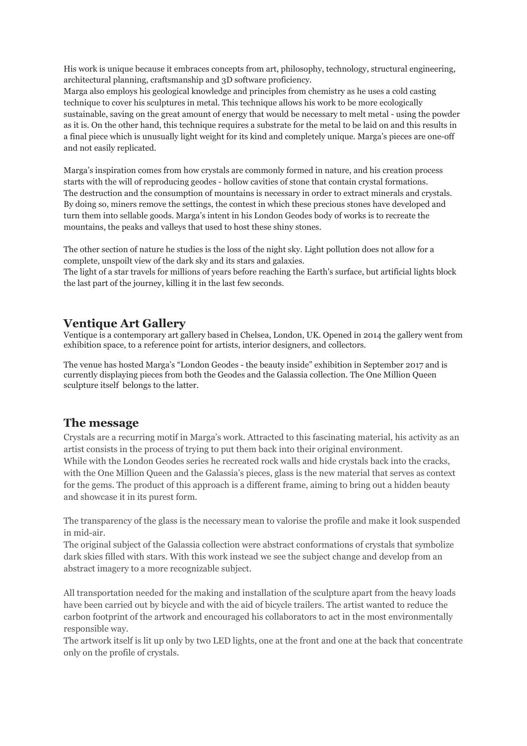His work is unique because it embraces concepts from art, philosophy, technology, structural engineering, architectural planning, craftsmanship and 3D software proficiency.

Marga also employs his geological knowledge and principles from chemistry as he uses a cold casting technique to cover his sculptures in metal. This technique allows his work to be more ecologically sustainable, saving on the great amount of energy that would be necessary to melt metal - using the powder as it is. On the other hand, this technique requires a substrate for the metal to be laid on and this results in a final piece which is unusually light weight for its kind and completely unique. Marga's pieces are one-off and not easily replicated.

Marga's inspiration comes from how crystals are commonly formed in nature, and his creation process starts with the will of reproducing geodes - hollow cavities of stone that contain crystal formations. The destruction and the consumption of mountains is necessary in order to extract minerals and crystals. By doing so, miners remove the settings, the contest in which these precious stones have developed and turn them into sellable goods. Marga's intent in his London Geodes body of works is to recreate the mountains, the peaks and valleys that used to host these shiny stones.

The other section of nature he studies is the loss of the night sky. Light pollution does not allow for a complete, unspoilt view of the dark sky and its stars and galaxies.

The light of a star travels for millions of years before reaching the Earth's surface, but artificial lights block the last part of the journey, killing it in the last few seconds.

### **Ventique Art Gallery**

Ventique is a contemporary art gallery based in Chelsea, London, UK. Opened in 2014 the gallery went from exhibition space, to a reference point for artists, interior designers, and collectors.

The venue has hosted Marga's "London Geodes - the beauty inside" exhibition in September 2017 and is currently displaying pieces from both the Geodes and the Galassia collection. The One Million Queen sculpture itself belongs to the latter.

### **The message**

Crystals are a recurring motif in Marga's work. Attracted to this fascinating material, his activity as an artist consists in the process of trying to put them back into their original environment. While with the London Geodes series he recreated rock walls and hide crystals back into the cracks, with the One Million Queen and the Galassia's pieces, glass is the new material that serves as context for the gems. The product of this approach is a different frame, aiming to bring out a hidden beauty and showcase it in its purest form.

The transparency of the glass is the necessary mean to valorise the profile and make it look suspended in mid-air.

The original subject of the Galassia collection were abstract conformations of crystals that symbolize dark skies filled with stars. With this work instead we see the subject change and develop from an abstract imagery to a more recognizable subject.

All transportation needed for the making and installation of the sculpture apart from the heavy loads have been carried out by bicycle and with the aid of bicycle trailers. The artist wanted to reduce the carbon footprint of the artwork and encouraged his collaborators to act in the most environmentally responsible way.

The artwork itself is lit up only by two LED lights, one at the front and one at the back that concentrate only on the profile of crystals.